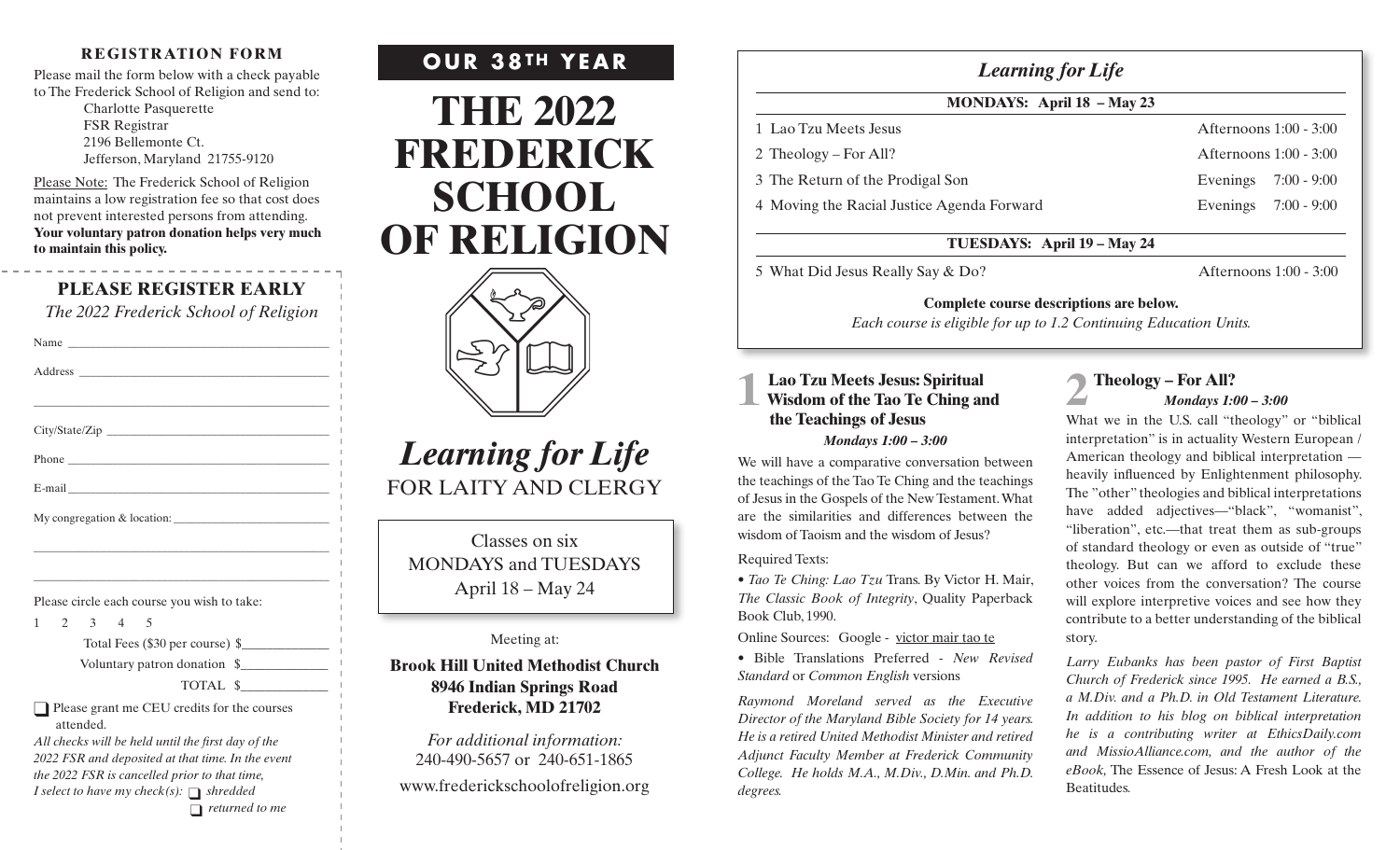### **REGISTRATION FORM**

Please mail the form below with a check payable to The Frederick School of Religion and send to: Charlotte Pasquerette FSR Registrar 2196 Bellemonte Ct. Jefferson, Maryland 21755-9120

Please Note: The Frederick School of Religion maintains a low registration fee so that cost does not prevent interested persons from attending. **Your voluntary patron donation helps very much to maintain this policy.**

# **PLEASE REGISTER EARLY**

*The 2022 Frederick School of Religion*

| Name                                                                                                                  |
|-----------------------------------------------------------------------------------------------------------------------|
|                                                                                                                       |
| <u> 1989 - Johann Stoff, deutscher Stoff, der Stoff, der Stoff, der Stoff, der Stoff, der Stoff, der Stoff, der S</u> |
|                                                                                                                       |
|                                                                                                                       |
|                                                                                                                       |
|                                                                                                                       |
| <u> 1989 - Johann Stoff, amerikansk politiker (* 1908)</u>                                                            |
| <u> 1989 - Johann Stoff, deutscher Stoff, der Stoff, der Stoff, der Stoff, der Stoff, der Stoff, der Stoff, der S</u> |
| Please circle each course you wish to take:                                                                           |

1 2 3 4 5

Total Fees (\$30 per course) \$

Voluntary patron donation \$\_\_\_\_\_\_\_\_\_\_\_\_\_\_

TOTAL \$\_\_\_\_\_\_\_\_\_\_\_\_\_\_

 $\Box$  Please grant me CEU credits for the courses attended.

*All checks will be held until the first day of the 2022 FSR and deposited at that time. In the event the 2022 FSR is cancelled prior to that time, I select to have my check(s):*  $\bigcap$  *shredded* 

 $\Box$  *returned to me* 





# *Learning for Life* FOR LAITY AND CLERGY

Classes on six MONDAYS and TUESDAYS April 18 – May 24

### Meeting at:

## **Brook Hill United Methodist Church 8946 Indian Springs Road Frederick, MD 21702**

*For additional information:* 240-490-5657 or 240-651-1865

www.frederickschoolofreligion.org

### **MONDAYS: April 18 – May 23**

4 Moving the Racial Justice Agenda Forward Evenings 7:00 - 9:00

1 Lao Tzu Meets Jesus Afternoons 1:00 - 3:00 2 Theology – For All? Afternoons 1:00 - 3:00 3 The Return of the Prodigal Son Evenings 7:00 - 9:00

### **TUESDAYS: April 19 – May 24**

5 What Did Jesus Really Say & Do? <br>Afternoons 1:00 - 3:00

**Complete course descriptions are below.** 

*Each course is eligible for up to 1.2 Continuing Education Units.*

# **1 Lao Tzu Meets Jesus: Spiritual Wisdom of the Tao Te Ching and the Teachings of Jesus**

### *Mondays 1:00 – 3:00*

We will have a comparative conversation between the teachings of the Tao Te Ching and the teachings of Jesus in the Gospels of the New Testament. What are the similarities and differences between the wisdom of Taoism and the wisdom of Jesus?

#### Required Texts:

*• Tao Te Ching: Lao Tzu* Trans. By Victor H. Mair, *The Classic Book of Integrity*, Quality Paperback Book Club, 1990.

Online Sources: Google - victor mair tao te

*•* Bible Translations Preferred - *New Revised Standard* or *Common English* versions

*Raymond Moreland served as the Executive Director of the Maryland Bible Society for 14 years. He is a retired United Methodist Minister and retired Adjunct Faculty Member at Frederick Community College. He holds M.A., M.Div., D.Min. and Ph.D. degrees.*

# **2 Theology – For All?**  *Mondays 1:00 – 3:00*

What we in the U.S. call "theology" or "biblical interpretation" is in actuality Western European / American theology and biblical interpretation heavily influenced by Enlightenment philosophy. The "other" theologies and biblical interpretations have added adjectives—"black", "womanist", "liberation", etc.—that treat them as sub-groups of standard theology or even as outside of "true" theology. But can we afford to exclude these other voices from the conversation? The course will explore interpretive voices and see how they contribute to a better understanding of the biblical story.

*Larry Eubanks has been pastor of First Baptist Church of Frederick since 1995. He earned a B.S., a M.Div. and a Ph.D. in Old Testament Literature. In addition to his blog on biblical interpretation he is a contributing writer at EthicsDaily.com and MissioAlliance.com, and the author of the eBook,* The Essence of Jesus: A Fresh Look at the Beatitudes*.*